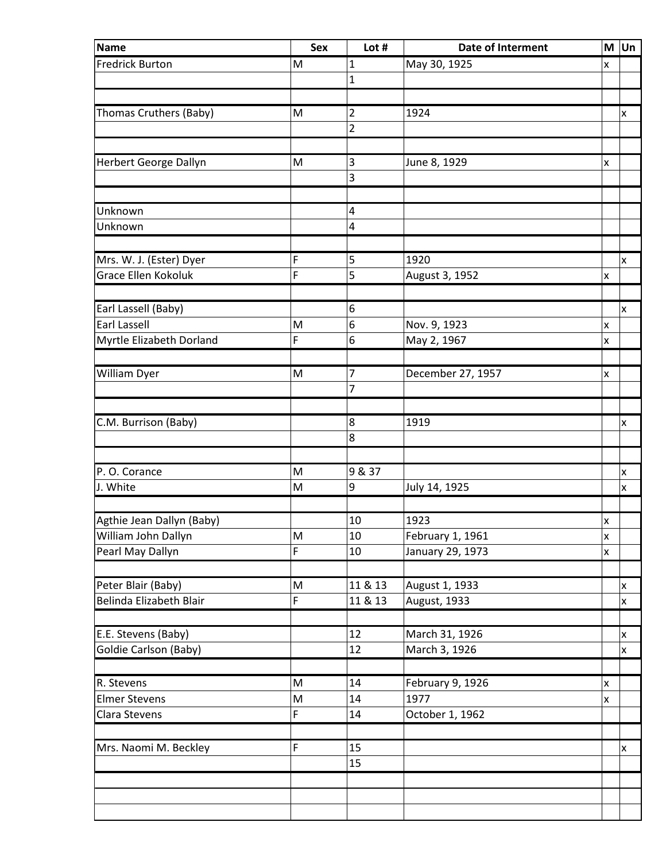| Name                       | <b>Sex</b> | Lot #          | Date of Interment |                    | $M$ Un             |
|----------------------------|------------|----------------|-------------------|--------------------|--------------------|
| <b>Fredrick Burton</b>     | M          | 1              | May 30, 1925      | x                  |                    |
|                            |            | $\mathbf{1}$   |                   |                    |                    |
|                            |            |                |                   |                    |                    |
| Thomas Cruthers (Baby)     | M          | $\overline{2}$ | 1924              |                    | x                  |
|                            |            | $\overline{2}$ |                   |                    |                    |
|                            |            |                |                   |                    |                    |
| Herbert George Dallyn      | M          | 3              | June 8, 1929      | X                  |                    |
|                            |            | 3              |                   |                    |                    |
|                            |            |                |                   |                    |                    |
| Unknown                    |            | 4              |                   |                    |                    |
| Unknown                    |            | 4              |                   |                    |                    |
|                            |            |                |                   |                    |                    |
| Mrs. W. J. (Ester) Dyer    | F          | 5              | 1920              |                    | x                  |
| <b>Grace Ellen Kokoluk</b> | F          | 5              | August 3, 1952    | $\pmb{\mathsf{x}}$ |                    |
|                            |            |                |                   |                    |                    |
| Earl Lassell (Baby)        |            | 6              |                   |                    | x                  |
| <b>Earl Lassell</b>        | M          | 6              | Nov. 9, 1923      | x                  |                    |
| Myrtle Elizabeth Dorland   | F          | 6              | May 2, 1967       | X                  |                    |
|                            |            |                |                   |                    |                    |
| William Dyer               | M          | 7              | December 27, 1957 | x                  |                    |
|                            |            | 7              |                   |                    |                    |
|                            |            |                |                   |                    |                    |
| C.M. Burrison (Baby)       |            | 8              | 1919              |                    | x                  |
|                            |            | 8              |                   |                    |                    |
|                            |            |                |                   |                    |                    |
| P. O. Corance              | M          | 9 & 37         |                   |                    | x                  |
| J. White                   | M          | 9              | July 14, 1925     |                    | x                  |
|                            |            |                |                   |                    |                    |
| Agthie Jean Dallyn (Baby)  |            | 10             | 1923              | x                  |                    |
| William John Dallyn        | ${\sf M}$  | 10             | February 1, 1961  | $\pmb{\mathsf{x}}$ |                    |
| Pearl May Dallyn           | F          | 10             | January 29, 1973  | X                  |                    |
|                            |            |                |                   |                    |                    |
| Peter Blair (Baby)         | M          | 11 & 13        | August 1, 1933    |                    | x                  |
| Belinda Elizabeth Blair    | F          | 11 & 13        | August, 1933      |                    | $\pmb{\mathsf{x}}$ |
|                            |            |                |                   |                    |                    |
| E.E. Stevens (Baby)        |            | 12             | March 31, 1926    |                    | x                  |
| Goldie Carlson (Baby)      |            | 12             | March 3, 1926     |                    | $\pmb{\mathsf{x}}$ |
|                            |            |                |                   |                    |                    |
| R. Stevens                 | M          | 14             | February 9, 1926  | X                  |                    |
| <b>Elmer Stevens</b>       | M          | 14             | 1977              | X                  |                    |
| Clara Stevens              | F          | 14             | October 1, 1962   |                    |                    |
|                            |            |                |                   |                    |                    |
| Mrs. Naomi M. Beckley      | F          | 15             |                   |                    | x                  |
|                            |            | 15             |                   |                    |                    |
|                            |            |                |                   |                    |                    |
|                            |            |                |                   |                    |                    |
|                            |            |                |                   |                    |                    |
|                            |            |                |                   |                    |                    |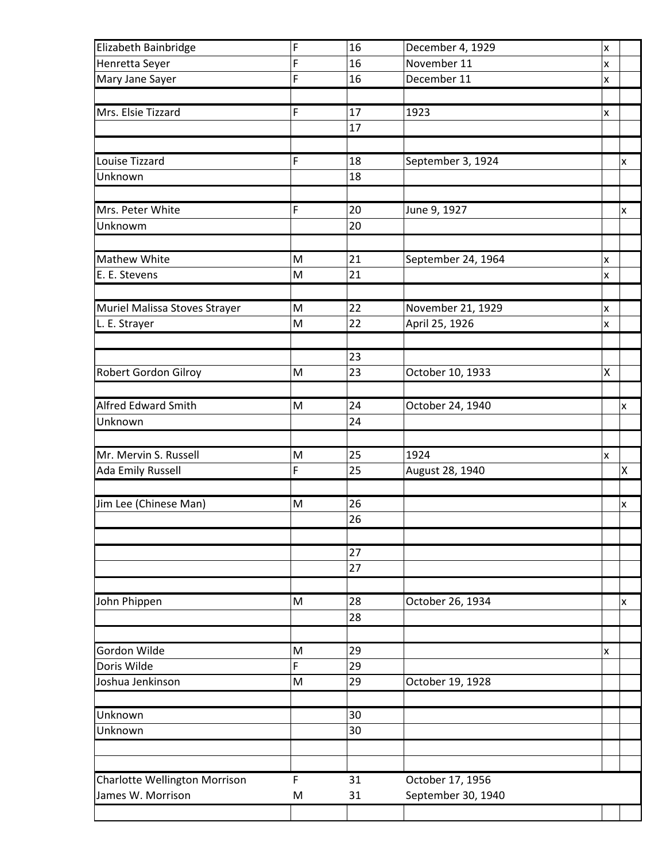| Elizabeth Bainbridge          | F | 16 | December 4, 1929                    | X |
|-------------------------------|---|----|-------------------------------------|---|
| Henretta Seyer                | F | 16 | November 11                         | x |
| Mary Jane Sayer               | F | 16 | December 11                         | X |
|                               |   |    |                                     |   |
| Mrs. Elsie Tizzard            | F | 17 | 1923                                | x |
|                               |   | 17 |                                     |   |
|                               |   |    |                                     |   |
| Louise Tizzard                | F | 18 | September 3, 1924                   | x |
| Unknown                       |   | 18 |                                     |   |
|                               |   |    |                                     |   |
| Mrs. Peter White              | F | 20 | June 9, 1927                        | x |
| Unknowm                       |   | 20 |                                     |   |
|                               |   |    |                                     |   |
| <b>Mathew White</b>           | M | 21 | September 24, 1964                  | x |
| E. E. Stevens                 | M | 21 |                                     | X |
|                               |   |    |                                     |   |
|                               | M | 22 |                                     |   |
| Muriel Malissa Stoves Strayer | M | 22 | November 21, 1929<br>April 25, 1926 | x |
| L. E. Strayer                 |   |    |                                     | x |
|                               |   |    |                                     |   |
|                               |   | 23 |                                     |   |
| Robert Gordon Gilroy          | M | 23 | October 10, 1933                    | Χ |
|                               |   |    |                                     |   |
| <b>Alfred Edward Smith</b>    | M | 24 | October 24, 1940                    | x |
| Unknown                       |   | 24 |                                     |   |
|                               |   |    |                                     |   |
| Mr. Mervin S. Russell         | M | 25 | 1924                                | x |
| <b>Ada Emily Russell</b>      | F | 25 | August 28, 1940                     | Χ |
|                               |   |    |                                     |   |
| Jim Lee (Chinese Man)         | M | 26 |                                     | x |
|                               |   | 26 |                                     |   |
|                               |   |    |                                     |   |
|                               |   | 27 |                                     |   |
|                               |   | 27 |                                     |   |
|                               |   |    |                                     |   |
| John Phippen                  | M | 28 | October 26, 1934                    | x |
|                               |   | 28 |                                     |   |
|                               |   |    |                                     |   |
| Gordon Wilde                  | M | 29 |                                     | x |
| Doris Wilde                   | F | 29 |                                     |   |
| Joshua Jenkinson              | M | 29 | October 19, 1928                    |   |
|                               |   |    |                                     |   |
| Unknown                       |   | 30 |                                     |   |
| Unknown                       |   | 30 |                                     |   |
|                               |   |    |                                     |   |
|                               |   |    |                                     |   |
| Charlotte Wellington Morrison | F | 31 | October 17, 1956                    |   |
| James W. Morrison             | M | 31 | September 30, 1940                  |   |
|                               |   |    |                                     |   |
|                               |   |    |                                     |   |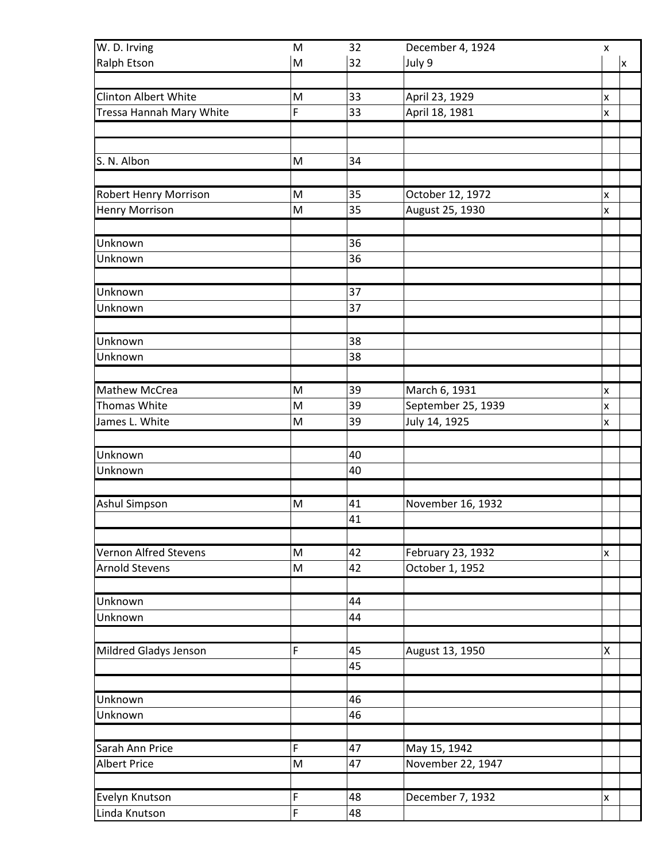| W. D. Irving                 | M                                                                                                          | 32       | December 4, 1924   | $\pmb{\mathsf{x}}$ |
|------------------------------|------------------------------------------------------------------------------------------------------------|----------|--------------------|--------------------|
| <b>Ralph Etson</b>           | M                                                                                                          | 32       | July 9             | x                  |
|                              |                                                                                                            |          |                    |                    |
| Clinton Albert White         | M                                                                                                          | 33       | April 23, 1929     | X                  |
| Tressa Hannah Mary White     | F                                                                                                          | 33       | April 18, 1981     | X                  |
|                              |                                                                                                            |          |                    |                    |
|                              |                                                                                                            |          |                    |                    |
| S. N. Albon                  | M                                                                                                          | 34       |                    |                    |
|                              |                                                                                                            |          |                    |                    |
| <b>Robert Henry Morrison</b> | M                                                                                                          | 35       | October 12, 1972   | X                  |
| <b>Henry Morrison</b>        | $\mathsf{M}% _{T}=\mathsf{M}_{T}\!\left( a,b\right) ,\ \mathsf{M}_{T}=\mathsf{M}_{T}\!\left( a,b\right) ,$ | 35       | August 25, 1930    | $\pmb{\mathsf{x}}$ |
| Unknown                      |                                                                                                            | 36       |                    |                    |
| Unknown                      |                                                                                                            | 36       |                    |                    |
|                              |                                                                                                            |          |                    |                    |
| Unknown                      |                                                                                                            | 37       |                    |                    |
| Unknown                      |                                                                                                            | 37       |                    |                    |
|                              |                                                                                                            |          |                    |                    |
| Unknown                      |                                                                                                            | 38       |                    |                    |
| Unknown                      |                                                                                                            | 38       |                    |                    |
|                              |                                                                                                            |          |                    |                    |
| <b>Mathew McCrea</b>         | M                                                                                                          | 39       | March 6, 1931      | X                  |
| <b>Thomas White</b>          | M                                                                                                          | 39       | September 25, 1939 | X                  |
| James L. White               | M                                                                                                          | 39       | July 14, 1925      | $\mathsf{x}$       |
|                              |                                                                                                            |          |                    |                    |
| Unknown                      |                                                                                                            | 40       |                    |                    |
| Unknown                      |                                                                                                            | 40       |                    |                    |
|                              |                                                                                                            |          |                    |                    |
| <b>Ashul Simpson</b>         | M                                                                                                          | 41       | November 16, 1932  |                    |
|                              |                                                                                                            | 41       |                    |                    |
|                              |                                                                                                            |          |                    |                    |
| Vernon Alfred Stevens        | M                                                                                                          | 42       | February 23, 1932  | x                  |
| <b>Arnold Stevens</b>        | $\mathsf{M}% _{T}=\mathsf{M}_{T}\!\left( a,b\right) ,\ \mathsf{M}_{T}=\mathsf{M}_{T}\!\left( a,b\right) ,$ | 42       | October 1, 1952    |                    |
|                              |                                                                                                            |          |                    |                    |
| Unknown<br>Unknown           |                                                                                                            | 44<br>44 |                    |                    |
|                              |                                                                                                            |          |                    |                    |
| Mildred Gladys Jenson        | $\mathsf F$                                                                                                | 45       | August 13, 1950    | Χ                  |
|                              |                                                                                                            | 45       |                    |                    |
|                              |                                                                                                            |          |                    |                    |
| Unknown                      |                                                                                                            | 46       |                    |                    |
| Unknown                      |                                                                                                            | 46       |                    |                    |
|                              |                                                                                                            |          |                    |                    |
| Sarah Ann Price              | F                                                                                                          | 47       | May 15, 1942       |                    |
| <b>Albert Price</b>          | M                                                                                                          | 47       | November 22, 1947  |                    |
|                              |                                                                                                            |          |                    |                    |
| Evelyn Knutson               | F                                                                                                          | 48       | December 7, 1932   | x                  |
| Linda Knutson                | F                                                                                                          | 48       |                    |                    |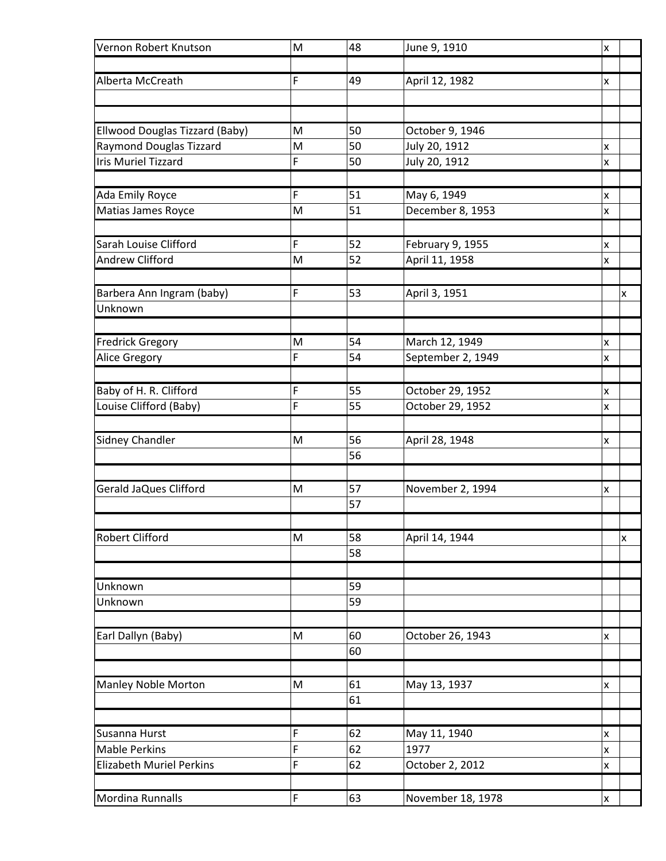| Vernon Robert Knutson           | M | 48       | June 9, 1910      | X |   |
|---------------------------------|---|----------|-------------------|---|---|
| Alberta McCreath                | F | 49       | April 12, 1982    | x |   |
|                                 |   |          |                   |   |   |
|                                 |   |          |                   |   |   |
| Ellwood Douglas Tizzard (Baby)  | M | 50       | October 9, 1946   |   |   |
| <b>Raymond Douglas Tizzard</b>  | M | 50       | July 20, 1912     | x |   |
| <b>Iris Muriel Tizzard</b>      | F | 50       | July 20, 1912     | X |   |
| <b>Ada Emily Royce</b>          | F | 51       | May 6, 1949       | X |   |
| Matias James Royce              | M | 51       | December 8, 1953  | X |   |
|                                 |   |          |                   |   |   |
| Sarah Louise Clifford           | F | 52       | February 9, 1955  | X |   |
| <b>Andrew Clifford</b>          | M | 52       | April 11, 1958    | X |   |
|                                 |   |          |                   |   |   |
| Barbera Ann Ingram (baby)       | F | 53       | April 3, 1951     |   | x |
| Unknown                         |   |          |                   |   |   |
| <b>Fredrick Gregory</b>         | M | 54       | March 12, 1949    | x |   |
| Alice Gregory                   | F | 54       | September 2, 1949 | x |   |
|                                 |   |          |                   |   |   |
| Baby of H. R. Clifford          | F | 55       | October 29, 1952  | X |   |
| Louise Clifford (Baby)          | F | 55       | October 29, 1952  | x |   |
|                                 |   |          |                   |   |   |
| <b>Sidney Chandler</b>          | M | 56       | April 28, 1948    | x |   |
|                                 |   | 56       |                   |   |   |
| Gerald JaQues Clifford          | M | 57       | November 2, 1994  | x |   |
|                                 |   | 57       |                   |   |   |
|                                 |   |          |                   |   |   |
| <b>Robert Clifford</b>          | M | 58       | April 14, 1944    |   | x |
|                                 |   | 58       |                   |   |   |
|                                 |   |          |                   |   |   |
| Unknown                         |   | 59       |                   |   |   |
| Unknown                         |   | 59       |                   |   |   |
|                                 |   |          |                   |   |   |
| Earl Dallyn (Baby)              | M | 60<br>60 | October 26, 1943  | x |   |
|                                 |   |          |                   |   |   |
| Manley Noble Morton             | M | 61       | May 13, 1937      | X |   |
|                                 |   | 61       |                   |   |   |
|                                 |   |          |                   |   |   |
| Susanna Hurst                   | F | 62       | May 11, 1940      | x |   |
| <b>Mable Perkins</b>            | F | 62       | 1977              | x |   |
| <b>Elizabeth Muriel Perkins</b> | F | 62       | October 2, 2012   | X |   |
| <b>Mordina Runnalls</b>         | F | 63       | November 18, 1978 | X |   |
|                                 |   |          |                   |   |   |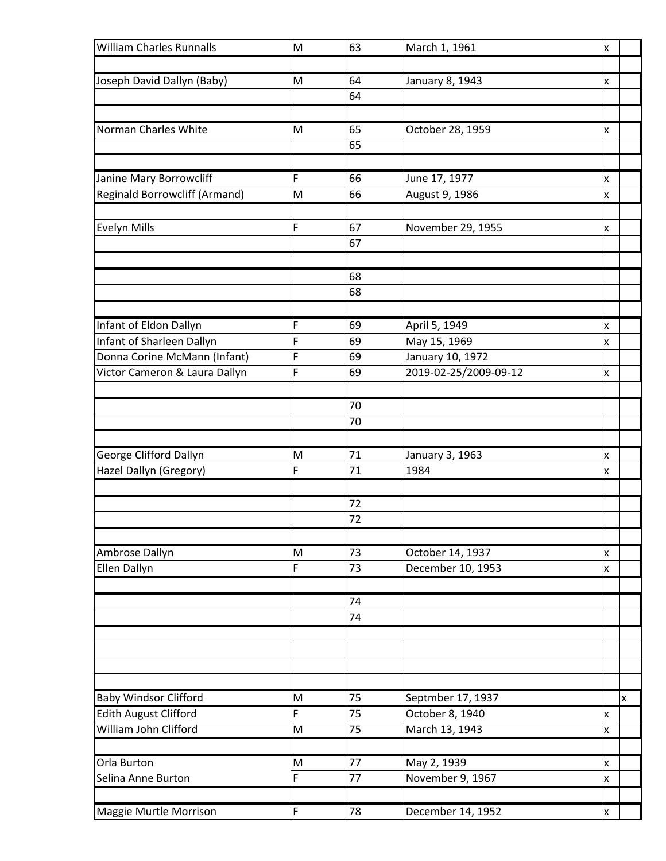| <b>William Charles Runnalls</b>      | M | 63 | March 1, 1961         | $\pmb{\mathsf{x}}$ |
|--------------------------------------|---|----|-----------------------|--------------------|
|                                      |   |    |                       |                    |
| Joseph David Dallyn (Baby)           | M | 64 | January 8, 1943       | x                  |
|                                      |   | 64 |                       |                    |
|                                      |   |    |                       |                    |
| Norman Charles White                 | M | 65 | October 28, 1959      | x                  |
|                                      |   | 65 |                       |                    |
| Janine Mary Borrowcliff              | F | 66 | June 17, 1977         | X                  |
| <b>Reginald Borrowcliff (Armand)</b> | M | 66 | August 9, 1986        | x                  |
|                                      |   |    |                       |                    |
| <b>Evelyn Mills</b>                  | F | 67 | November 29, 1955     | x                  |
|                                      |   | 67 |                       |                    |
|                                      |   |    |                       |                    |
|                                      |   | 68 |                       |                    |
|                                      |   | 68 |                       |                    |
|                                      |   |    |                       |                    |
| Infant of Eldon Dallyn               | F | 69 | April 5, 1949         | x                  |
| Infant of Sharleen Dallyn            | F | 69 | May 15, 1969          | x                  |
| Donna Corine McMann (Infant)         | F | 69 | January 10, 1972      |                    |
| Victor Cameron & Laura Dallyn        | F | 69 | 2019-02-25/2009-09-12 | X                  |
|                                      |   |    |                       |                    |
|                                      |   | 70 |                       |                    |
|                                      |   | 70 |                       |                    |
| George Clifford Dallyn               | M | 71 | January 3, 1963       | x                  |
| Hazel Dallyn (Gregory)               | F | 71 | 1984                  | X                  |
|                                      |   |    |                       |                    |
|                                      |   | 72 |                       |                    |
|                                      |   | 72 |                       |                    |
|                                      |   |    |                       |                    |
| Ambrose Dallyn                       | M | 73 | October 14, 1937      | X                  |
| Ellen Dallyn                         | F | 73 | December 10, 1953     | x                  |
|                                      |   |    |                       |                    |
|                                      |   | 74 |                       |                    |
|                                      |   | 74 |                       |                    |
|                                      |   |    |                       |                    |
|                                      |   |    |                       |                    |
|                                      |   |    |                       |                    |
| <b>Baby Windsor Clifford</b>         | M | 75 | Septmber 17, 1937     | Ιx                 |
| <b>Edith August Clifford</b>         | F | 75 | October 8, 1940       | X                  |
| William John Clifford                | M | 75 | March 13, 1943        | X                  |
|                                      |   |    |                       |                    |
| Orla Burton                          | M | 77 | May 2, 1939           | X                  |
| Selina Anne Burton                   | F | 77 | November 9, 1967      | X                  |
|                                      |   |    |                       |                    |
| Maggie Murtle Morrison               | F | 78 | December 14, 1952     | $\mathsf{x}$       |
|                                      |   |    |                       |                    |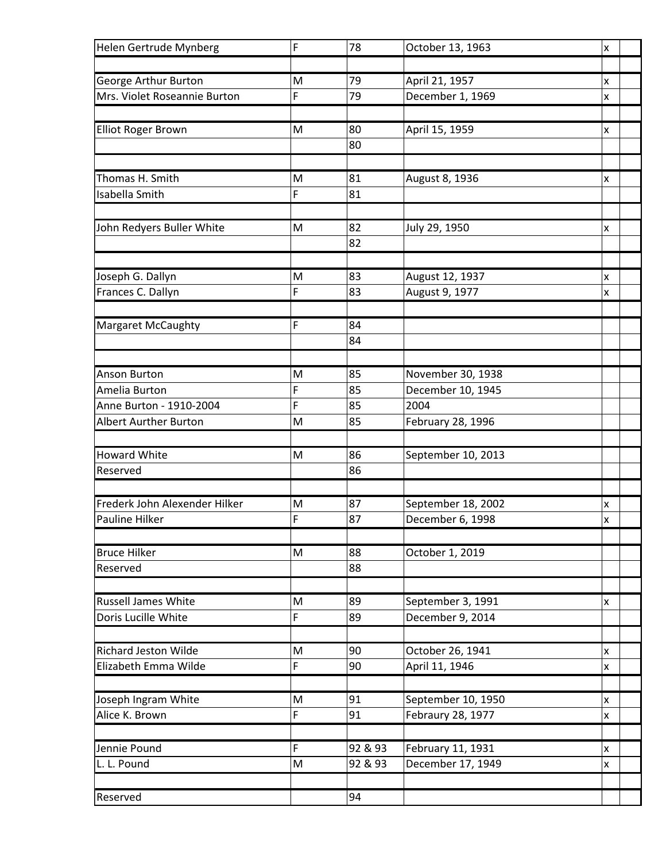| F<br>78<br>Helen Gertrude Mynberg                                            | October 13, 1963<br>X |
|------------------------------------------------------------------------------|-----------------------|
|                                                                              |                       |
| George Arthur Burton<br>79<br>April 21, 1957<br>M                            | x                     |
| F<br>79<br>Mrs. Violet Roseannie Burton<br>December 1, 1969                  | X                     |
|                                                                              |                       |
| <b>Elliot Roger Brown</b><br>M<br>80<br>April 15, 1959                       | x                     |
| 80                                                                           |                       |
|                                                                              |                       |
| Thomas H. Smith<br>81<br>M<br>August 8, 1936                                 | x                     |
| F<br>Isabella Smith<br>81                                                    |                       |
|                                                                              |                       |
| 82<br>John Redyers Buller White<br>M<br>July 29, 1950<br>82                  | x                     |
|                                                                              |                       |
| Joseph G. Dallyn<br>M<br>83<br>August 12, 1937                               | x                     |
| Frances C. Dallyn<br>F<br>83<br>August 9, 1977                               | X                     |
|                                                                              |                       |
| <b>Margaret McCaughty</b><br>F<br>84                                         |                       |
| 84                                                                           |                       |
|                                                                              |                       |
| November 30, 1938<br><b>Anson Burton</b><br>M<br>85                          |                       |
| F<br>85<br>December 10, 1945<br>Amelia Burton                                |                       |
| F<br>85<br>Anne Burton - 1910-2004<br>2004                                   |                       |
| <b>Albert Aurther Burton</b><br>M<br>85<br>February 28, 1996                 |                       |
|                                                                              |                       |
| <b>Howard White</b><br>86<br>September 10, 2013<br>M                         |                       |
| 86<br>Reserved                                                               |                       |
|                                                                              |                       |
| Frederk John Alexender Hilker<br>87<br>September 18, 2002<br>M               | x                     |
| F<br><b>Pauline Hilker</b><br>87<br>December 6, 1998                         | x                     |
|                                                                              |                       |
| <b>Bruce Hilker</b><br>88<br>M<br>October 1, 2019                            |                       |
| 88<br>Reserved                                                               |                       |
| <b>Russell James White</b><br>89                                             |                       |
| September 3, 1991<br>M<br>Doris Lucille White<br>F<br>December 9, 2014<br>89 | x                     |
|                                                                              |                       |
| <b>Richard Jeston Wilde</b><br>90<br>October 26, 1941<br>M                   | X                     |
| F<br>Elizabeth Emma Wilde<br>90<br>April 11, 1946                            | x                     |
|                                                                              |                       |
| Joseph Ingram White<br>91<br>September 10, 1950<br>M                         | x                     |
| F<br>Alice K. Brown<br>91<br>Febraury 28, 1977                               | X                     |
|                                                                              |                       |
| F<br>92 & 93<br>February 11, 1931<br>Jennie Pound                            | X                     |
| M<br>92 & 93<br>L. L. Pound<br>December 17, 1949                             | X                     |
|                                                                              |                       |
| Reserved<br>94                                                               |                       |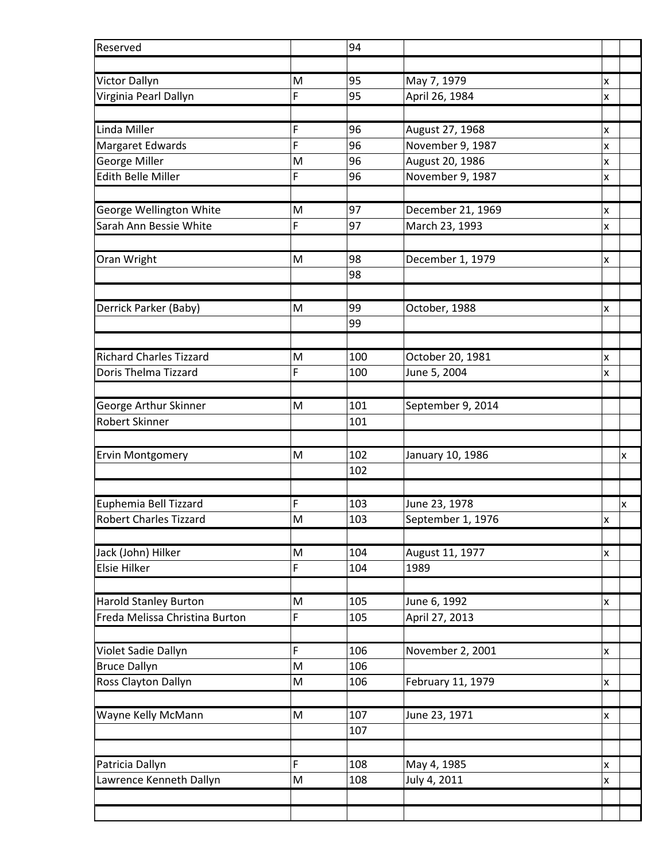| Reserved                                                       |        | 94         |                                |        |
|----------------------------------------------------------------|--------|------------|--------------------------------|--------|
|                                                                |        |            |                                |        |
| <b>Victor Dallyn</b>                                           | M      | 95         | May 7, 1979                    | x      |
| Virginia Pearl Dallyn                                          | F      | 95         | April 26, 1984                 | X      |
|                                                                |        |            |                                |        |
| Linda Miller                                                   | F      | 96         | August 27, 1968                | X      |
| Margaret Edwards                                               | F      | 96         | November 9, 1987               | X      |
| <b>George Miller</b>                                           | M      | 96         | August 20, 1986                | X      |
| Edith Belle Miller                                             | F      | 96         | November 9, 1987               | x      |
| George Wellington White                                        | M      | 97         | December 21, 1969              |        |
| Sarah Ann Bessie White                                         | F      | 97         | March 23, 1993                 | x<br>X |
|                                                                |        |            |                                |        |
| Oran Wright                                                    | M      | 98         | December 1, 1979               | x      |
|                                                                |        | 98         |                                |        |
|                                                                |        |            |                                |        |
| Derrick Parker (Baby)                                          | M      | 99         | October, 1988                  | x      |
|                                                                |        | 99         |                                |        |
|                                                                |        |            |                                |        |
| <b>Richard Charles Tizzard</b>                                 | M      | 100        | October 20, 1981               | X      |
| Doris Thelma Tizzard                                           | F      | 100        | June 5, 2004                   | x      |
|                                                                |        |            |                                |        |
| George Arthur Skinner                                          | M      | 101        | September 9, 2014              |        |
| Robert Skinner                                                 |        | 101        |                                |        |
|                                                                |        |            |                                |        |
| <b>Ervin Montgomery</b>                                        | M      | 102        | January 10, 1986               | x      |
|                                                                |        | 102        |                                |        |
|                                                                |        |            |                                |        |
| Euphemia Bell Tizzard                                          | F      | 103        | June 23, 1978                  | X      |
| Robert Charles Tizzard                                         | M      | 103        | September 1, 1976              | x      |
|                                                                |        |            |                                |        |
| Jack (John) Hilker                                             | M      | 104        | August 11, 1977                | X      |
| <b>Elsie Hilker</b>                                            | F      | 104        | 1989                           |        |
|                                                                |        |            |                                |        |
| <b>Harold Stanley Burton</b><br>Freda Melissa Christina Burton | M<br>F | 105<br>105 | June 6, 1992<br>April 27, 2013 | X      |
|                                                                |        |            |                                |        |
| Violet Sadie Dallyn                                            | F      | 106        | November 2, 2001               | X      |
| <b>Bruce Dallyn</b>                                            | M      | 106        |                                |        |
| Ross Clayton Dallyn                                            | M      | 106        | February 11, 1979              | X      |
|                                                                |        |            |                                |        |
| Wayne Kelly McMann                                             | M      | 107        | June 23, 1971                  | X      |
|                                                                |        | 107        |                                |        |
|                                                                |        |            |                                |        |
| Patricia Dallyn                                                | F      | 108        | May 4, 1985                    | X      |
| Lawrence Kenneth Dallyn                                        | M      | 108        | July 4, 2011                   | X      |
|                                                                |        |            |                                |        |
|                                                                |        |            |                                |        |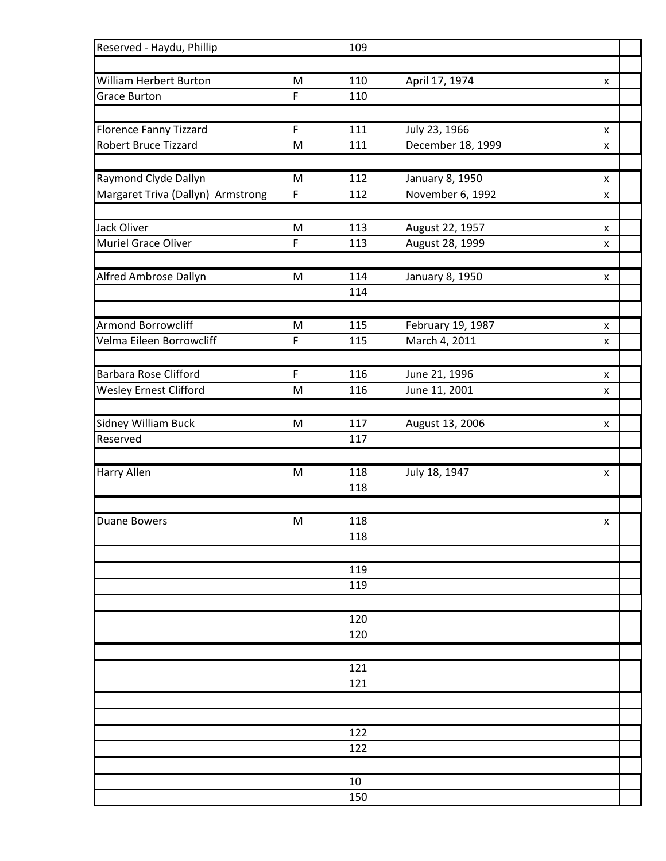| Reserved - Haydu, Phillip         |        | 109        |                   |                         |
|-----------------------------------|--------|------------|-------------------|-------------------------|
|                                   |        |            |                   |                         |
| <b>William Herbert Burton</b>     | M      | 110        | April 17, 1974    | x                       |
| <b>Grace Burton</b>               | F      | 110        |                   |                         |
|                                   |        |            |                   |                         |
| <b>Florence Fanny Tizzard</b>     | F      | 111        | July 23, 1966     | X                       |
| <b>Robert Bruce Tizzard</b>       | M      | 111        | December 18, 1999 | X                       |
|                                   |        |            |                   |                         |
| Raymond Clyde Dallyn              | M      | 112        | January 8, 1950   | X                       |
| Margaret Triva (Dallyn) Armstrong | F      | 112        | November 6, 1992  | X                       |
|                                   |        |            |                   |                         |
| <b>Jack Oliver</b>                | M      | 113        | August 22, 1957   | X                       |
| Muriel Grace Oliver               | F      | 113        | August 28, 1999   | X                       |
|                                   |        |            |                   |                         |
| Alfred Ambrose Dallyn             | M      | 114        | January 8, 1950   | X                       |
|                                   |        | 114        |                   |                         |
| Armond Borrowcliff                |        |            |                   |                         |
| Velma Eileen Borrowcliff          | M<br>F | 115<br>115 | February 19, 1987 | X                       |
|                                   |        |            | March 4, 2011     | X                       |
| Barbara Rose Clifford             | F      | 116        | June 21, 1996     |                         |
| <b>Wesley Ernest Clifford</b>     | M      | 116        | June 11, 2001     | X<br>$\pmb{\mathsf{X}}$ |
|                                   |        |            |                   |                         |
| Sidney William Buck               | M      | 117        | August 13, 2006   | X                       |
| Reserved                          |        | 117        |                   |                         |
|                                   |        |            |                   |                         |
| <b>Harry Allen</b>                | M      | 118        | July 18, 1947     | X                       |
|                                   |        | 118        |                   |                         |
|                                   |        |            |                   |                         |
| <b>Duane Bowers</b>               | M      | 118        |                   | İΧ.                     |
|                                   |        | 118        |                   |                         |
|                                   |        |            |                   |                         |
|                                   |        | 119        |                   |                         |
|                                   |        | 119        |                   |                         |
|                                   |        |            |                   |                         |
|                                   |        | 120        |                   |                         |
|                                   |        | 120        |                   |                         |
|                                   |        |            |                   |                         |
|                                   |        | 121        |                   |                         |
|                                   |        | 121        |                   |                         |
|                                   |        |            |                   |                         |
|                                   |        |            |                   |                         |
|                                   |        | 122        |                   |                         |
|                                   |        | 122        |                   |                         |
|                                   |        |            |                   |                         |
|                                   |        | 10         |                   |                         |
|                                   |        | 150        |                   |                         |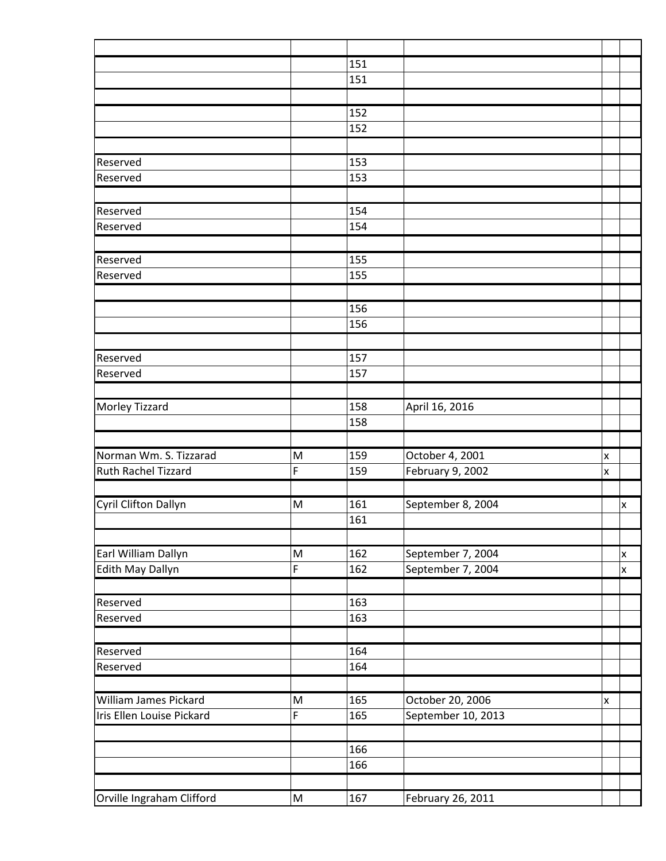|                              |           | 151 |                    |                    |   |
|------------------------------|-----------|-----|--------------------|--------------------|---|
|                              |           | 151 |                    |                    |   |
|                              |           |     |                    |                    |   |
|                              |           | 152 |                    |                    |   |
|                              |           | 152 |                    |                    |   |
|                              |           |     |                    |                    |   |
| Reserved                     |           | 153 |                    |                    |   |
| Reserved                     |           | 153 |                    |                    |   |
| Reserved                     |           | 154 |                    |                    |   |
| Reserved                     |           | 154 |                    |                    |   |
|                              |           |     |                    |                    |   |
| Reserved                     |           | 155 |                    |                    |   |
| Reserved                     |           | 155 |                    |                    |   |
|                              |           |     |                    |                    |   |
|                              |           | 156 |                    |                    |   |
|                              |           | 156 |                    |                    |   |
|                              |           |     |                    |                    |   |
| Reserved                     |           | 157 |                    |                    |   |
| Reserved                     |           | 157 |                    |                    |   |
| Morley Tizzard               |           | 158 | April 16, 2016     |                    |   |
|                              |           | 158 |                    |                    |   |
|                              |           |     |                    |                    |   |
| Norman Wm. S. Tizzarad       | M         | 159 | October 4, 2001    | X                  |   |
| Ruth Rachel Tizzard          | F         | 159 | February 9, 2002   | $\pmb{\mathsf{x}}$ |   |
|                              |           |     |                    |                    |   |
| Cyril Clifton Dallyn         | M         | 161 | September 8, 2004  |                    | X |
|                              |           | 161 |                    |                    |   |
|                              |           |     |                    |                    |   |
| Earl William Dallyn          | M         | 162 | September 7, 2004  |                    | X |
| Edith May Dallyn             | F         | 162 | September 7, 2004  |                    | x |
| Reserved                     |           | 163 |                    |                    |   |
| Reserved                     |           | 163 |                    |                    |   |
|                              |           |     |                    |                    |   |
| Reserved                     |           | 164 |                    |                    |   |
| Reserved                     |           | 164 |                    |                    |   |
|                              |           |     |                    |                    |   |
| <b>William James Pickard</b> | M         | 165 | October 20, 2006   | $\pmb{\mathsf{X}}$ |   |
| Iris Ellen Louise Pickard    | F         | 165 | September 10, 2013 |                    |   |
|                              |           |     |                    |                    |   |
|                              |           | 166 |                    |                    |   |
|                              |           | 166 |                    |                    |   |
|                              |           |     |                    |                    |   |
| Orville Ingraham Clifford    | ${\sf M}$ | 167 | February 26, 2011  |                    |   |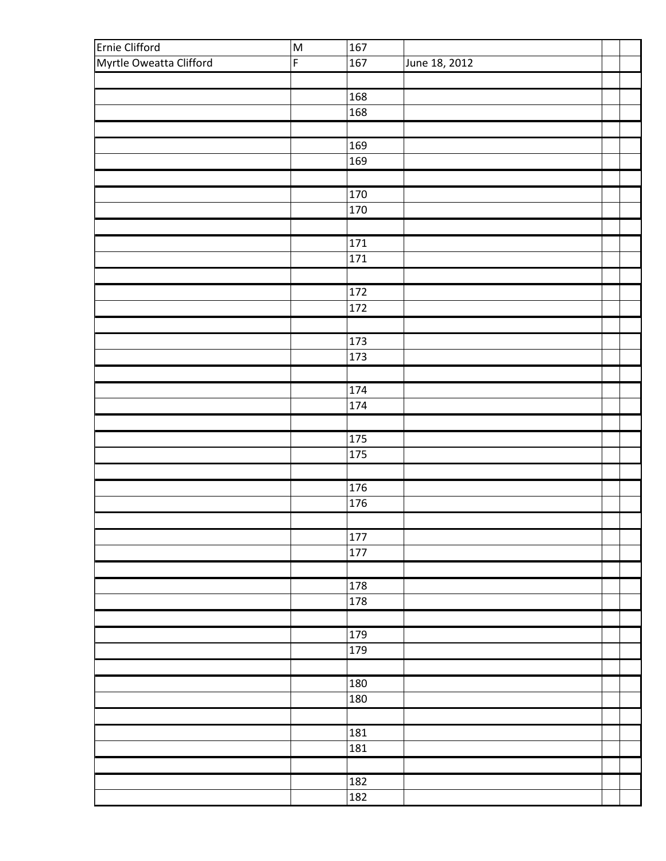| Ernie Clifford          | M           | 167              |               |  |
|-------------------------|-------------|------------------|---------------|--|
| Myrtle Oweatta Clifford | $\mathsf F$ | 167              | June 18, 2012 |  |
|                         |             |                  |               |  |
|                         |             | 168              |               |  |
|                         |             | 168              |               |  |
|                         |             |                  |               |  |
|                         |             | 169              |               |  |
|                         |             | 169              |               |  |
|                         |             |                  |               |  |
|                         |             | 170              |               |  |
|                         |             | 170              |               |  |
|                         |             |                  |               |  |
|                         |             |                  |               |  |
|                         |             | 171              |               |  |
|                         |             | 171              |               |  |
|                         |             |                  |               |  |
|                         |             | $\overline{172}$ |               |  |
|                         |             | 172              |               |  |
|                         |             |                  |               |  |
|                         |             | 173              |               |  |
|                         |             | 173              |               |  |
|                         |             |                  |               |  |
|                         |             | 174              |               |  |
|                         |             | 174              |               |  |
|                         |             |                  |               |  |
|                         |             | 175              |               |  |
|                         |             | 175              |               |  |
|                         |             |                  |               |  |
|                         |             | 176              |               |  |
|                         |             | 176              |               |  |
|                         |             |                  |               |  |
|                         |             | 177              |               |  |
|                         |             | 177              |               |  |
|                         |             |                  |               |  |
|                         |             | 178              |               |  |
|                         |             | 178              |               |  |
|                         |             |                  |               |  |
|                         |             |                  |               |  |
|                         |             | 179              |               |  |
|                         |             | 179              |               |  |
|                         |             |                  |               |  |
|                         |             | 180              |               |  |
|                         |             | 180              |               |  |
|                         |             |                  |               |  |
|                         |             | 181              |               |  |
|                         |             | 181              |               |  |
|                         |             |                  |               |  |
|                         |             | 182              |               |  |
|                         |             | 182              |               |  |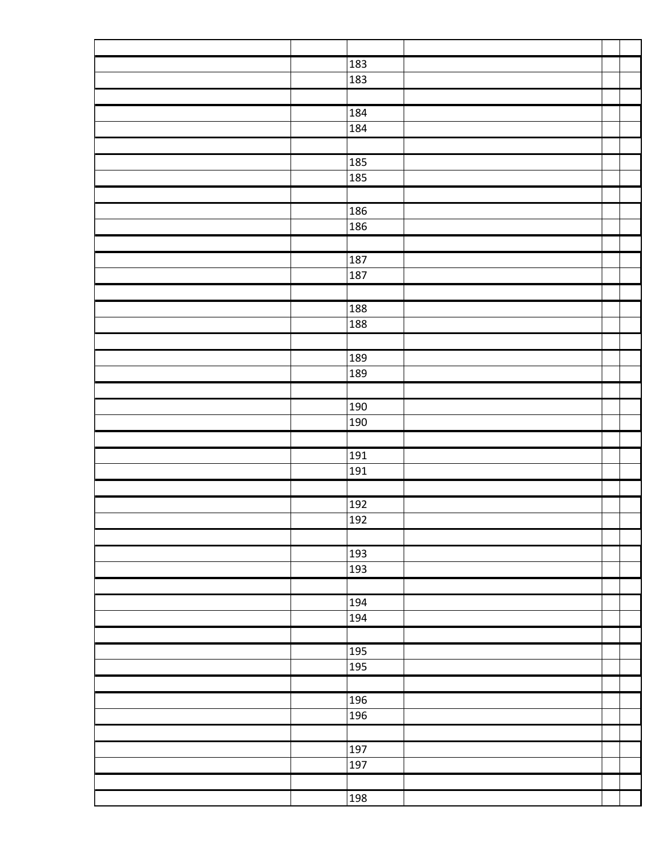|  | 183 |  |  |
|--|-----|--|--|
|  | 183 |  |  |
|  |     |  |  |
|  | 184 |  |  |
|  | 184 |  |  |
|  |     |  |  |
|  | 185 |  |  |
|  | 185 |  |  |
|  |     |  |  |
|  | 186 |  |  |
|  | 186 |  |  |
|  |     |  |  |
|  | 187 |  |  |
|  | 187 |  |  |
|  |     |  |  |
|  | 188 |  |  |
|  | 188 |  |  |
|  |     |  |  |
|  | 189 |  |  |
|  | 189 |  |  |
|  |     |  |  |
|  | 190 |  |  |
|  | 190 |  |  |
|  |     |  |  |
|  | 191 |  |  |
|  | 191 |  |  |
|  |     |  |  |
|  | 192 |  |  |
|  | 192 |  |  |
|  |     |  |  |
|  | 193 |  |  |
|  | 193 |  |  |
|  |     |  |  |
|  | 194 |  |  |
|  | 194 |  |  |
|  |     |  |  |
|  |     |  |  |
|  | 195 |  |  |
|  | 195 |  |  |
|  |     |  |  |
|  | 196 |  |  |
|  | 196 |  |  |
|  |     |  |  |
|  | 197 |  |  |
|  | 197 |  |  |
|  |     |  |  |
|  | 198 |  |  |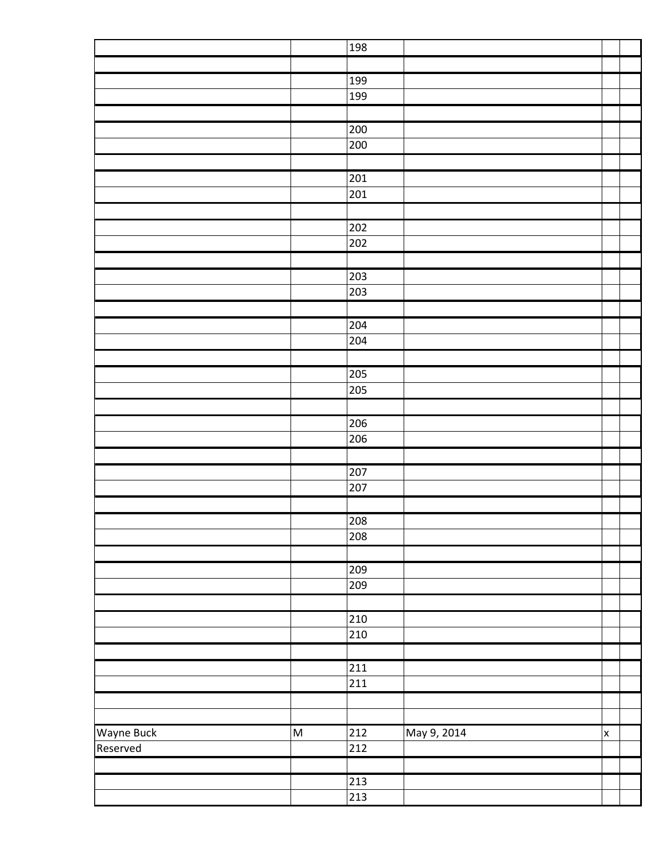|            |                         | 198              |             |   |  |
|------------|-------------------------|------------------|-------------|---|--|
|            |                         |                  |             |   |  |
|            |                         | 199              |             |   |  |
|            |                         | 199              |             |   |  |
|            |                         |                  |             |   |  |
|            |                         | 200              |             |   |  |
|            |                         | 200              |             |   |  |
|            |                         |                  |             |   |  |
|            |                         | 201              |             |   |  |
|            |                         | 201              |             |   |  |
|            |                         |                  |             |   |  |
|            |                         | 202              |             |   |  |
|            |                         | 202              |             |   |  |
|            |                         |                  |             |   |  |
|            |                         | 203              |             |   |  |
|            |                         | 203              |             |   |  |
|            |                         |                  |             |   |  |
|            |                         | 204              |             |   |  |
|            |                         | 204              |             |   |  |
|            |                         |                  |             |   |  |
|            |                         | 205              |             |   |  |
|            |                         | 205              |             |   |  |
|            |                         |                  |             |   |  |
|            |                         | 206              |             |   |  |
|            |                         | 206              |             |   |  |
|            |                         |                  |             |   |  |
|            |                         | 207              |             |   |  |
|            |                         | 207              |             |   |  |
|            |                         |                  |             |   |  |
|            |                         | 208              |             |   |  |
|            |                         | 208              |             |   |  |
|            |                         |                  |             |   |  |
|            |                         | 209              |             |   |  |
|            |                         | 209              |             |   |  |
|            |                         |                  |             |   |  |
|            |                         | 210              |             |   |  |
|            |                         | 210              |             |   |  |
|            |                         |                  |             |   |  |
|            |                         | 211              |             |   |  |
|            |                         | 211              |             |   |  |
|            |                         |                  |             |   |  |
|            |                         |                  |             |   |  |
| Wayne Buck | $\overline{\mathsf{M}}$ | 212              | May 9, 2014 | X |  |
| Reserved   |                         | 212              |             |   |  |
|            |                         |                  |             |   |  |
|            |                         | $\overline{213}$ |             |   |  |
|            |                         | 213              |             |   |  |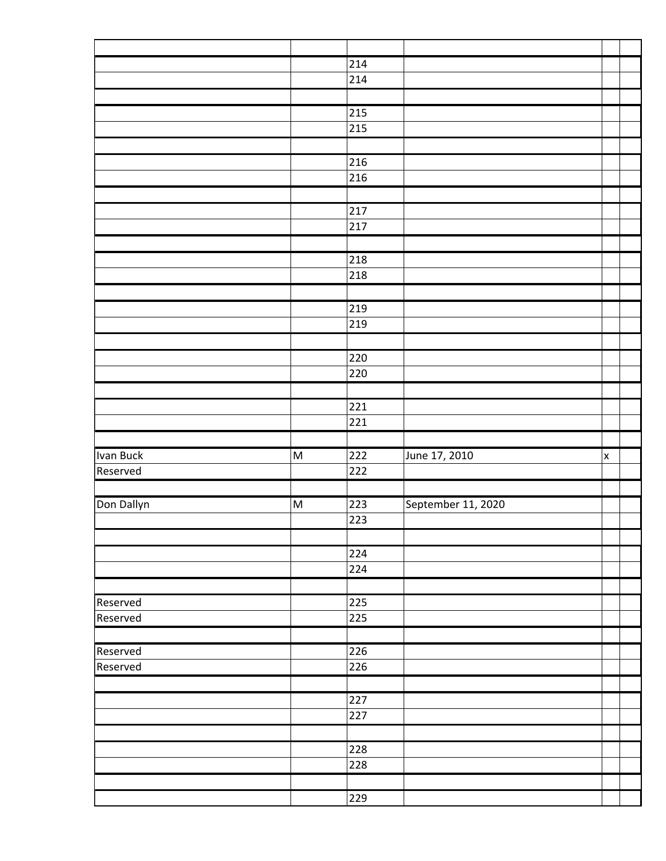|            |                                                                                                            | 214              |                    |   |  |
|------------|------------------------------------------------------------------------------------------------------------|------------------|--------------------|---|--|
|            |                                                                                                            | 214              |                    |   |  |
|            |                                                                                                            |                  |                    |   |  |
|            |                                                                                                            | 215              |                    |   |  |
|            |                                                                                                            | 215              |                    |   |  |
|            |                                                                                                            |                  |                    |   |  |
|            |                                                                                                            | 216              |                    |   |  |
|            |                                                                                                            | 216              |                    |   |  |
|            |                                                                                                            |                  |                    |   |  |
|            |                                                                                                            | 217              |                    |   |  |
|            |                                                                                                            | 217              |                    |   |  |
|            |                                                                                                            |                  |                    |   |  |
|            |                                                                                                            | 218              |                    |   |  |
|            |                                                                                                            | 218              |                    |   |  |
|            |                                                                                                            |                  |                    |   |  |
|            |                                                                                                            | 219              |                    |   |  |
|            |                                                                                                            | 219              |                    |   |  |
|            |                                                                                                            |                  |                    |   |  |
|            |                                                                                                            | 220              |                    |   |  |
|            |                                                                                                            | 220              |                    |   |  |
|            |                                                                                                            |                  |                    |   |  |
|            |                                                                                                            | 221              |                    |   |  |
|            |                                                                                                            | 221              |                    |   |  |
|            |                                                                                                            |                  |                    |   |  |
|            |                                                                                                            |                  |                    |   |  |
| Ivan Buck  | $\mathsf{M}% _{T}=\mathsf{M}_{T}\!\left( a,b\right) ,\ \mathsf{M}_{T}=\mathsf{M}_{T}\!\left( a,b\right) ,$ | $\overline{222}$ |                    | X |  |
| Reserved   |                                                                                                            | 222              | June 17, 2010      |   |  |
|            |                                                                                                            |                  |                    |   |  |
|            | M                                                                                                          | 223              |                    |   |  |
| Don Dallyn |                                                                                                            | 223              | September 11, 2020 |   |  |
|            |                                                                                                            |                  |                    |   |  |
|            |                                                                                                            | 224              |                    |   |  |
|            |                                                                                                            | 224              |                    |   |  |
|            |                                                                                                            |                  |                    |   |  |
| Reserved   |                                                                                                            | 225              |                    |   |  |
|            |                                                                                                            | 225              |                    |   |  |
| Reserved   |                                                                                                            |                  |                    |   |  |
| Reserved   |                                                                                                            | 226              |                    |   |  |
| Reserved   |                                                                                                            | 226              |                    |   |  |
|            |                                                                                                            |                  |                    |   |  |
|            |                                                                                                            | 227              |                    |   |  |
|            |                                                                                                            | 227              |                    |   |  |
|            |                                                                                                            |                  |                    |   |  |
|            |                                                                                                            | 228              |                    |   |  |
|            |                                                                                                            | 228              |                    |   |  |
|            |                                                                                                            |                  |                    |   |  |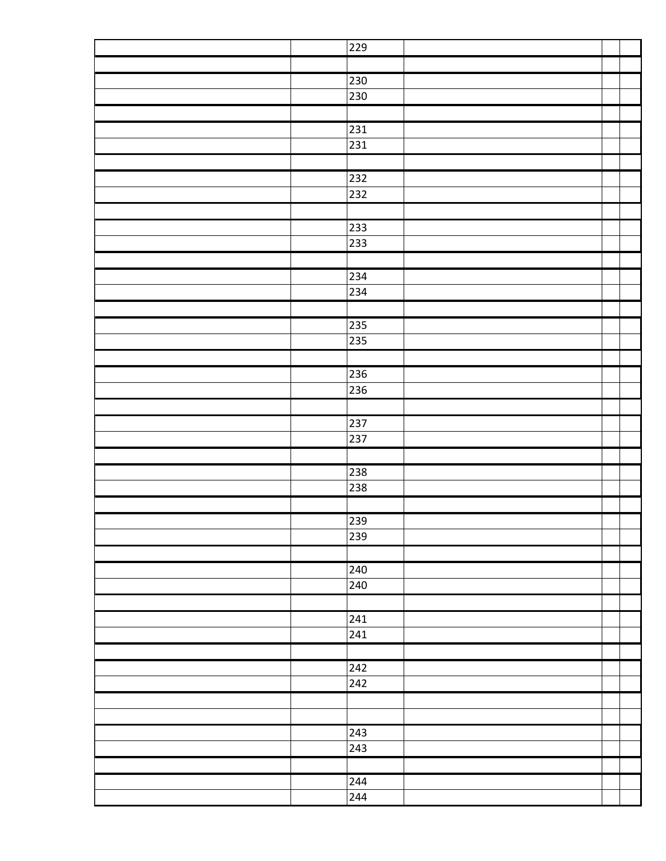| 229          |  |
|--------------|--|
|              |  |
| 230          |  |
| 230          |  |
|              |  |
| 231          |  |
| 231          |  |
|              |  |
| 232          |  |
| 232          |  |
|              |  |
| 233          |  |
| 233          |  |
|              |  |
| 234          |  |
| 234          |  |
|              |  |
| 235          |  |
| 235          |  |
|              |  |
| 236          |  |
| 236          |  |
|              |  |
| 237          |  |
| 237          |  |
|              |  |
| 238          |  |
| 238          |  |
|              |  |
| 239          |  |
| 239          |  |
|              |  |
| 240          |  |
| 240          |  |
|              |  |
| 241          |  |
| 241          |  |
|              |  |
| 242          |  |
| 242          |  |
|              |  |
|              |  |
| $\sqrt{243}$ |  |
| 243          |  |
|              |  |
| 244          |  |
| 244          |  |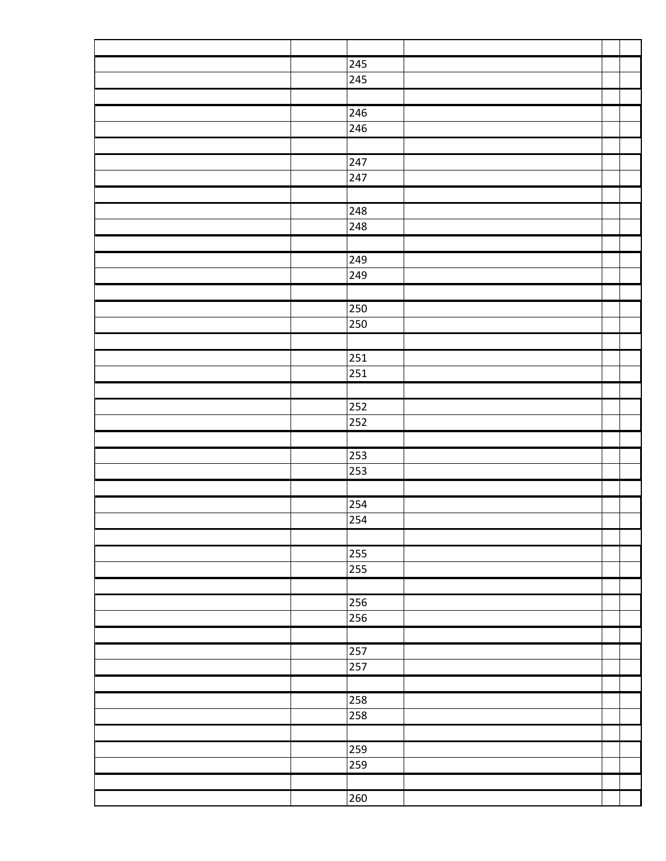| 245              |  |
|------------------|--|
| 245              |  |
|                  |  |
| 246              |  |
| 246              |  |
|                  |  |
| $\overline{247}$ |  |
| 247              |  |
|                  |  |
| 248              |  |
| 248              |  |
|                  |  |
| 249              |  |
| 249              |  |
|                  |  |
| 250              |  |
| 250              |  |
|                  |  |
| $\overline{251}$ |  |
| 251              |  |
|                  |  |
|                  |  |
| 252              |  |
| 252              |  |
|                  |  |
| $\overline{253}$ |  |
| 253              |  |
|                  |  |
| 254              |  |
| $\overline{254}$ |  |
|                  |  |
| 255              |  |
| 255              |  |
|                  |  |
| 256              |  |
| 256              |  |
|                  |  |
| 257              |  |
| 257              |  |
|                  |  |
| 258              |  |
| 258              |  |
|                  |  |
| 259              |  |
| 259              |  |
|                  |  |
| 260              |  |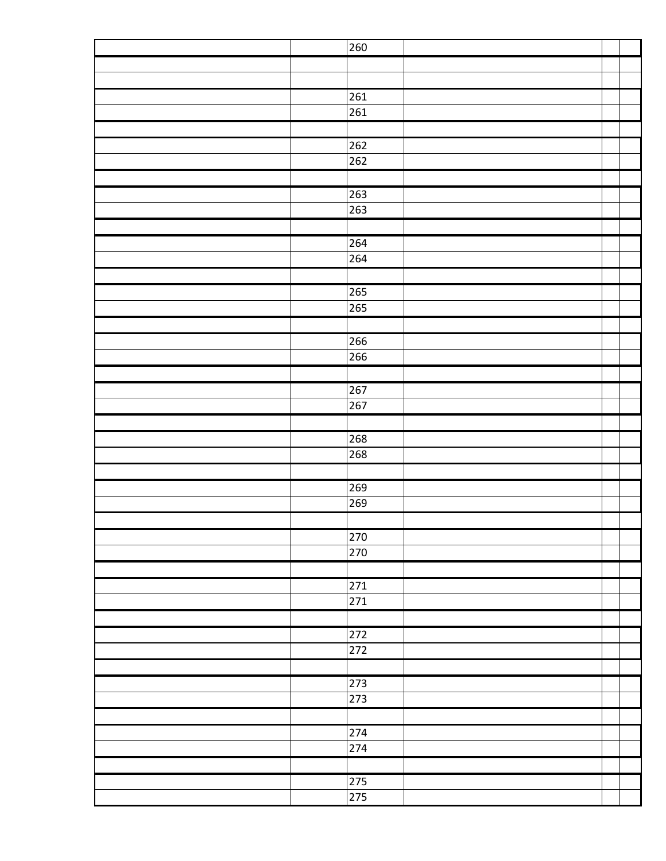| $\overline{260}$ |  |  |
|------------------|--|--|
|                  |  |  |
|                  |  |  |
| 261              |  |  |
| 261              |  |  |
|                  |  |  |
| $\overline{262}$ |  |  |
| 262              |  |  |
|                  |  |  |
| $\overline{263}$ |  |  |
| 263              |  |  |
|                  |  |  |
| 264              |  |  |
| 264              |  |  |
|                  |  |  |
| 265              |  |  |
| 265              |  |  |
|                  |  |  |
| 266              |  |  |
| 266              |  |  |
|                  |  |  |
| 267              |  |  |
| 267              |  |  |
|                  |  |  |
| 268              |  |  |
| 268              |  |  |
|                  |  |  |
| 269              |  |  |
| 269              |  |  |
|                  |  |  |
| 270              |  |  |
| $\overline{270}$ |  |  |
|                  |  |  |
| 271              |  |  |
| 271              |  |  |
|                  |  |  |
| 272              |  |  |
| 272              |  |  |
|                  |  |  |
| 273              |  |  |
| 273              |  |  |
|                  |  |  |
| 274              |  |  |
| 274              |  |  |
|                  |  |  |
| 275              |  |  |
| 275              |  |  |
|                  |  |  |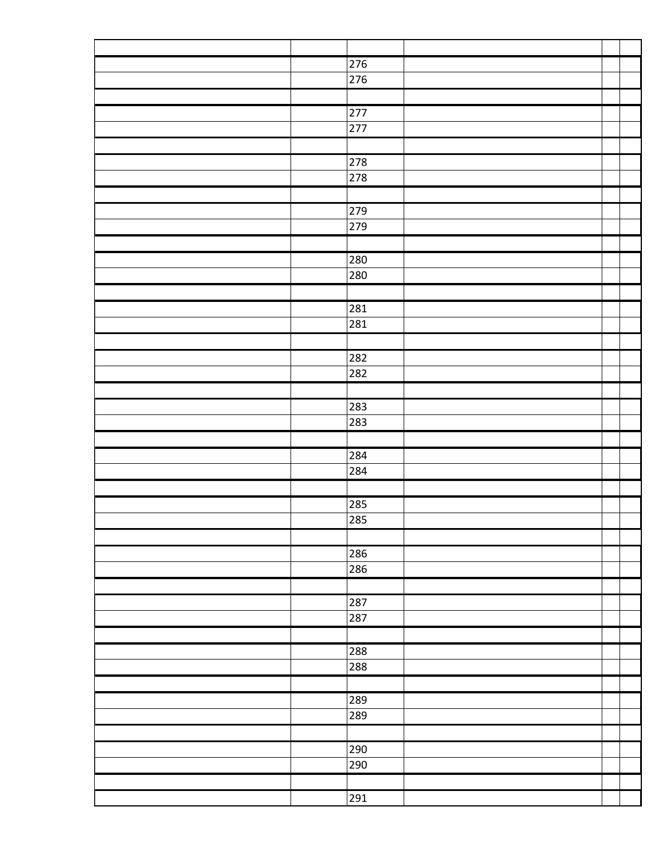| 276              |  |
|------------------|--|
| 276              |  |
|                  |  |
| $\overline{277}$ |  |
| 277              |  |
|                  |  |
| 278              |  |
| 278              |  |
|                  |  |
| 279              |  |
| 279              |  |
|                  |  |
| 280              |  |
| 280              |  |
|                  |  |
| 281              |  |
| 281              |  |
|                  |  |
| 282              |  |
| 282              |  |
|                  |  |
|                  |  |
| 283<br>283       |  |
|                  |  |
|                  |  |
| 284              |  |
| 284              |  |
|                  |  |
| 285              |  |
| 285              |  |
|                  |  |
| 286              |  |
| 286              |  |
|                  |  |
| 287              |  |
| 287              |  |
|                  |  |
| 288              |  |
| 288              |  |
|                  |  |
| 289              |  |
| 289              |  |
|                  |  |
| 290              |  |
| 290              |  |
|                  |  |
| 291              |  |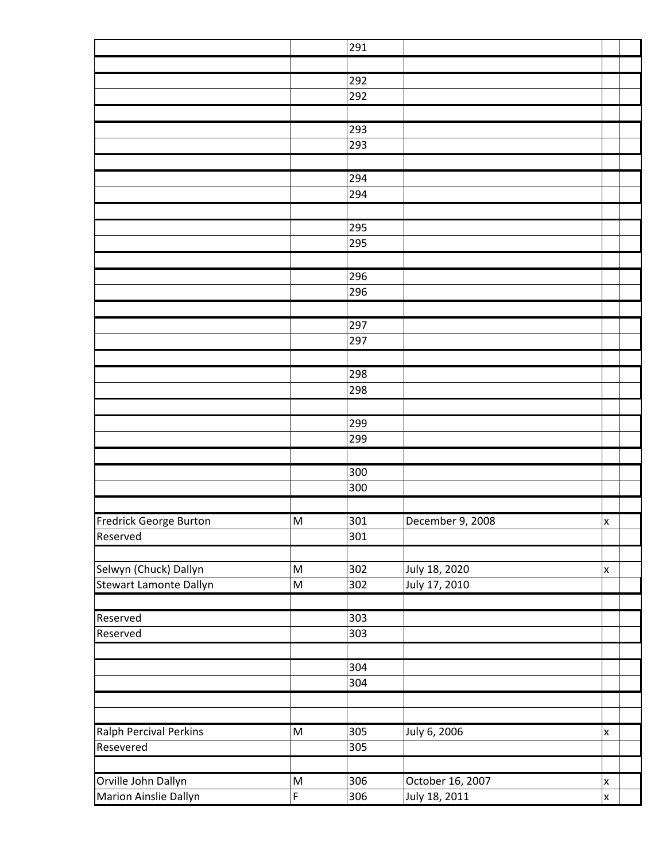|                                                 |                                                                                                            | 291 |                                |                    |
|-------------------------------------------------|------------------------------------------------------------------------------------------------------------|-----|--------------------------------|--------------------|
|                                                 |                                                                                                            |     |                                |                    |
|                                                 |                                                                                                            | 292 |                                |                    |
|                                                 |                                                                                                            | 292 |                                |                    |
|                                                 |                                                                                                            |     |                                |                    |
|                                                 |                                                                                                            | 293 |                                |                    |
|                                                 |                                                                                                            | 293 |                                |                    |
|                                                 |                                                                                                            |     |                                |                    |
|                                                 |                                                                                                            | 294 |                                |                    |
|                                                 |                                                                                                            | 294 |                                |                    |
|                                                 |                                                                                                            |     |                                |                    |
|                                                 |                                                                                                            | 295 |                                |                    |
|                                                 |                                                                                                            | 295 |                                |                    |
|                                                 |                                                                                                            |     |                                |                    |
|                                                 |                                                                                                            | 296 |                                |                    |
|                                                 |                                                                                                            | 296 |                                |                    |
|                                                 |                                                                                                            |     |                                |                    |
|                                                 |                                                                                                            | 297 |                                |                    |
|                                                 |                                                                                                            | 297 |                                |                    |
|                                                 |                                                                                                            |     |                                |                    |
|                                                 |                                                                                                            | 298 |                                |                    |
|                                                 |                                                                                                            | 298 |                                |                    |
|                                                 |                                                                                                            |     |                                |                    |
|                                                 |                                                                                                            | 299 |                                |                    |
|                                                 |                                                                                                            | 299 |                                |                    |
|                                                 |                                                                                                            |     |                                |                    |
|                                                 |                                                                                                            | 300 |                                |                    |
|                                                 |                                                                                                            | 300 |                                |                    |
|                                                 |                                                                                                            |     |                                |                    |
| Fredrick George Burton                          | ${\sf M}$                                                                                                  | 301 | December 9, 2008               | $\pmb{\mathsf{x}}$ |
| Reserved                                        |                                                                                                            | 301 |                                |                    |
|                                                 | $\mathsf{M}% _{T}=\mathsf{M}_{T}\!\left( a,b\right) ,\ \mathsf{M}_{T}=\mathsf{M}_{T}\!\left( a,b\right) ,$ | 302 |                                | $\mathsf{x}$       |
| Selwyn (Chuck) Dallyn<br>Stewart Lamonte Dallyn | M                                                                                                          | 302 | July 18, 2020<br>July 17, 2010 |                    |
|                                                 |                                                                                                            |     |                                |                    |
| Reserved                                        |                                                                                                            | 303 |                                |                    |
| Reserved                                        |                                                                                                            | 303 |                                |                    |
|                                                 |                                                                                                            |     |                                |                    |
|                                                 |                                                                                                            | 304 |                                |                    |
|                                                 |                                                                                                            | 304 |                                |                    |
|                                                 |                                                                                                            |     |                                |                    |
|                                                 |                                                                                                            |     |                                |                    |
| <b>Ralph Percival Perkins</b>                   | $\mathsf{M}% _{T}=\mathsf{M}_{T}\!\left( a,b\right) ,\ \mathsf{M}_{T}=\mathsf{M}_{T}\!\left( a,b\right) ,$ | 305 | July 6, 2006                   | $\pmb{\mathsf{X}}$ |
| Resevered                                       |                                                                                                            | 305 |                                |                    |
|                                                 |                                                                                                            |     |                                |                    |
| Orville John Dallyn                             | $\mathsf{M}% _{T}=\mathsf{M}_{T}\!\left( a,b\right) ,\ \mathsf{M}_{T}=\mathsf{M}_{T}\!\left( a,b\right) ,$ | 306 | October 16, 2007               | $\mathsf{x}$       |
| Marion Ainslie Dallyn                           | F                                                                                                          | 306 | July 18, 2011                  | X                  |